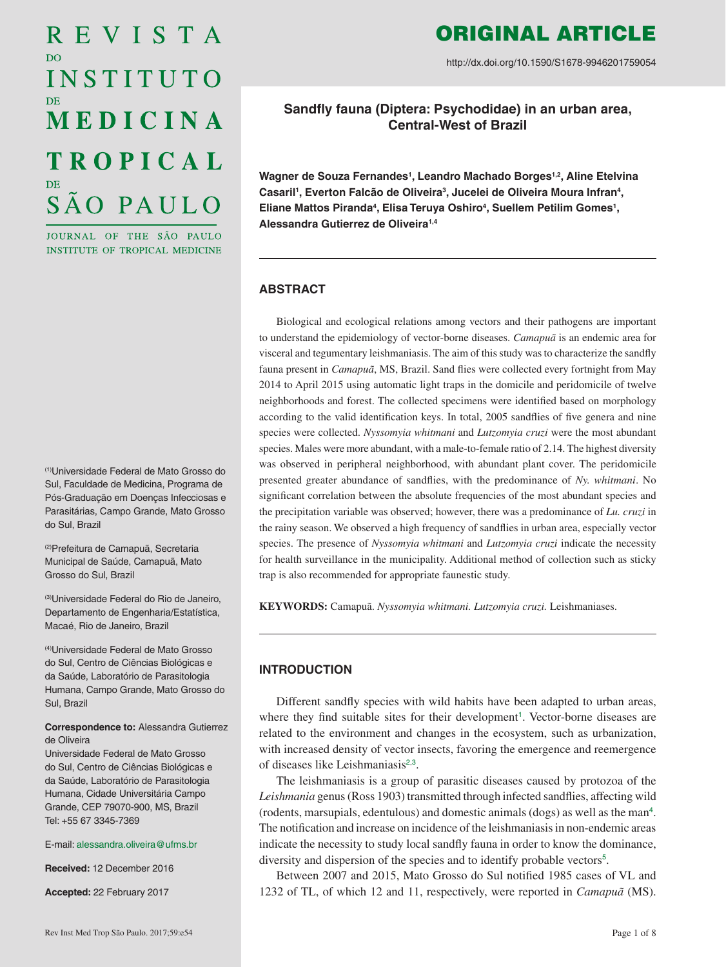# REVISTA D<sub>O</sub> INSTITUTO MEDICINA **TROPICAL** SÃO PAULO

JOURNAL OF THE SÃO PAULO INSTITUTE OF TROPICAL MEDICINE

(1)Universidade Federal de Mato Grosso do Sul, Faculdade de Medicina, Programa de Pós-Graduação em Doenças Infecciosas e Parasitárias, Campo Grande, Mato Grosso do Sul, Brazil

(2)Prefeitura de Camapuã, Secretaria Municipal de Saúde, Camapuã, Mato Grosso do Sul, Brazil

(3)Universidade Federal do Rio de Janeiro, Departamento de Engenharia/Estatística, Macaé, Rio de Janeiro, Brazil

(4)Universidade Federal de Mato Grosso do Sul, Centro de Ciências Biológicas e da Saúde, Laboratório de Parasitologia Humana, Campo Grande, Mato Grosso do Sul, Brazil

#### **Correspondence to:** Alessandra Gutierrez de Oliveira

Universidade Federal de Mato Grosso do Sul, Centro de Ciências Biológicas e da Saúde, Laboratório de Parasitologia Humana, Cidade Universitária Campo Grande, CEP 79070-900, MS, Brazil Tel: +55 67 3345-7369

E-mail: [alessandra.oliveira@ufms.br](mailto:alessandra.oliveira%40ufms.br?subject=)

**Received:** 12 December 2016

**Accepted:** 22 February 2017

# ORIGINAL ARTICLE

http://dx.doi.org/10.1590/S1678-9946201759054

**Sandfly fauna (Diptera: Psychodidae) in an urban area, Central-West of Brazil**

Wagner de Souza Fernandes<sup>1</sup>, Leandro Machado Borges<sup>1,2</sup>, Aline Etelvina Casaril<sup>1</sup>, Everton Falcão de Oliveira<sup>3</sup>, Jucelei de Oliveira Moura Infran<sup>4</sup>, Eliane Mattos Piranda<sup>4</sup>, Elisa Teruya Oshiro<sup>4</sup>, Suellem Petilim Gomes<sup>1</sup>, **Alessandra Gutierrez de Oliveira1,4**

# **ABSTRACT**

Biological and ecological relations among vectors and their pathogens are important to understand the epidemiology of vector-borne diseases. *Camapuã* is an endemic area for visceral and tegumentary leishmaniasis. The aim of this study was to characterize the sandfly fauna present in *Camapuã*, MS, Brazil. Sand flies were collected every fortnight from May 2014 to April 2015 using automatic light traps in the domicile and peridomicile of twelve neighborhoods and forest. The collected specimens were identified based on morphology according to the valid identification keys. In total, 2005 sandflies of five genera and nine species were collected. *Nyssomyia whitmani* and *Lutzomyia cruzi* were the most abundant species. Males were more abundant, with a male-to-female ratio of 2.14. The highest diversity was observed in peripheral neighborhood, with abundant plant cover. The peridomicile presented greater abundance of sandflies, with the predominance of *Ny. whitmani*. No significant correlation between the absolute frequencies of the most abundant species and the precipitation variable was observed; however, there was a predominance of *Lu. cruzi* in the rainy season. We observed a high frequency of sandflies in urban area, especially vector species. The presence of *Nyssomyia whitmani* and *Lutzomyia cruzi* indicate the necessity for health surveillance in the municipality. Additional method of collection such as sticky trap is also recommended for appropriate faunestic study.

**KEYWORDS:** Camapuã. *Nyssomyia whitmani. Lutzomyia cruzi.* Leishmaniases.

# **INTRODUCTION**

<span id="page-0-0"></span>Different sandfly species with wild habits have been adapted to urban areas, where they find suitable sites for their development<sup>[1](#page-5-0)</sup>. Vector-borne diseases are related to the environment and changes in the ecosystem, such as urbanization, with increased density of vector insects, favoring the emergence and reemergence of diseases like Leishmaniasis<sup>[2](#page-5-0),[3](#page-5-0)</sup>.

<span id="page-0-3"></span><span id="page-0-2"></span><span id="page-0-1"></span>The leishmaniasis is a group of parasitic diseases caused by protozoa of the *Leishmania* genus (Ross 1903) transmitted through infected sandflies, affecting wild (rodents, marsupials, edentulous) and domestic animals (dogs) as well as the man[4](#page-5-0) . The notification and increase on incidence of the leishmaniasis in non-endemic areas indicate the necessity to study local sandfly fauna in order to know the dominance, diversity and dispersion of the species and to identify probable vectors<sup>[5](#page-5-0)</sup>.

<span id="page-0-4"></span>Between 2007 and 2015, Mato Grosso do Sul notified 1985 cases of VL and 1232 of TL, of which 12 and 11, respectively, were reported in *Camapuã* (MS).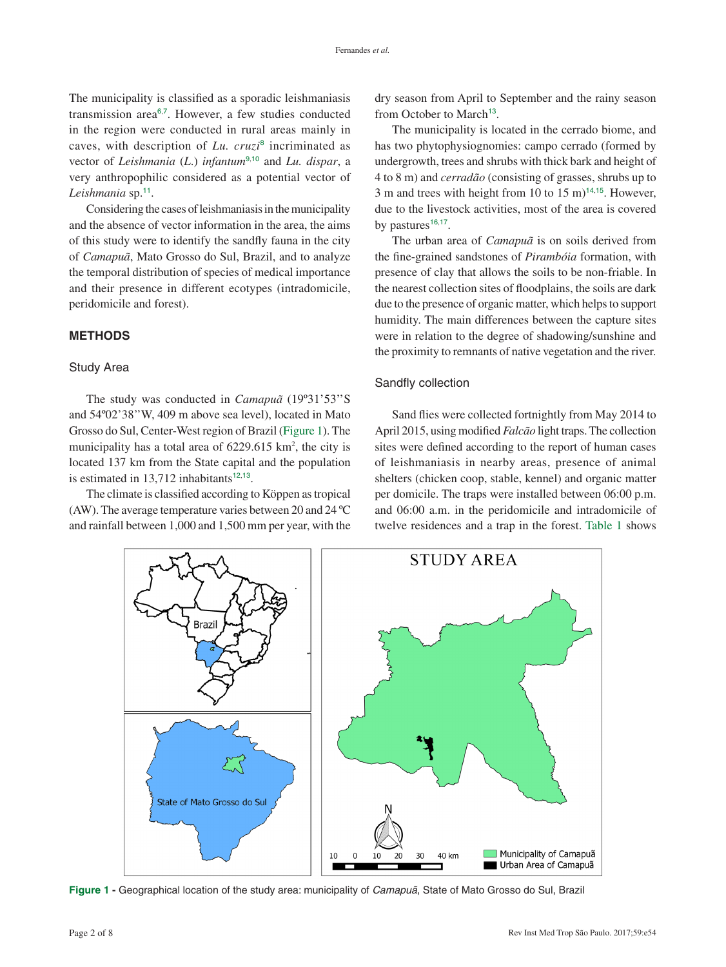<span id="page-1-2"></span>The municipality is classified as a sporadic leishmaniasis transmission area<sup>[6](#page-5-0),[7](#page-5-0)</sup>. However, a few studies conducted in the region were conducted in rural areas mainly in caves, with description of *Lu. cruzi*[8](#page-5-0) incriminated as vector of *Leishmania* (*L*.) *infantum*[9](#page-5-0),[10](#page-5-0) and *Lu. dispar*, a very anthropophilic considered as a potential vector of *Leishmania* sp.[11](#page-5-0).

<span id="page-1-7"></span>Considering the cases of leishmaniasis in the municipality and the absence of vector information in the area, the aims of this study were to identify the sandfly fauna in the city of *Camapuã*, Mato Grosso do Sul, Brazil, and to analyze the temporal distribution of species of medical importance and their presence in different ecotypes (intradomicile, peridomicile and forest).

# **METHODS**

#### Study Area

<span id="page-1-0"></span>The study was conducted in *Camapuã* (19º31'53''S and 54º02'38''W, 409 m above sea level), located in Mato Grosso do Sul, Center-West region of Brazil (Figure 1). The municipality has a total area of  $6229.615 \text{ km}^2$ , the city is located 137 km from the State capital and the population is estimated in  $13,712$  $13,712$  inhabitants<sup>12,[13](#page-5-0)</sup>.

<span id="page-1-8"></span>The climate is classified according to Köppen as tropical (AW). The average temperature varies between 20 and 24 ºC and rainfall between 1,000 and 1,500 mm per year, with the <span id="page-1-3"></span>dry season from April to September and the rainy season from October to March<sup>[13](#page-5-0)</sup>.

<span id="page-1-6"></span><span id="page-1-5"></span><span id="page-1-4"></span>The municipality is located in the cerrado biome, and has two phytophysiognomies: campo cerrado (formed by undergrowth, trees and shrubs with thick bark and height of 4 to 8 m) and *cerradão* (consisting of grasses, shrubs up to 3 m and trees with height from 10 to 15 m)<sup>[14](#page-6-0),[15](#page-6-0)</sup>. However, due to the livestock activities, most of the area is covered by pastures $16,17$  $16,17$  $16,17$ .

<span id="page-1-13"></span><span id="page-1-12"></span><span id="page-1-11"></span><span id="page-1-10"></span>The urban area of *Camapuã* is on soils derived from the fine-grained sandstones of *Pirambóia* formation, with presence of clay that allows the soils to be non-friable. In the nearest collection sites of floodplains, the soils are dark due to the presence of organic matter, which helps to support humidity. The main differences between the capture sites were in relation to the degree of shadowing/sunshine and the proximity to remnants of native vegetation and the river.

#### Sandfly collection

<span id="page-1-9"></span><span id="page-1-1"></span>Sand flies were collected fortnightly from May 2014 to April 2015, using modified *Falcão* light traps. The collection sites were defined according to the report of human cases of leishmaniasis in nearby areas, presence of animal shelters (chicken coop, stable, kennel) and organic matter per domicile. The traps were installed between 06:00 p.m. and 06:00 a.m. in the peridomicile and intradomicile of twelve residences and a trap in the forest. [Table 1](#page-2-0) shows



**Figure 1 -** [Geographical location of the study area: municipality of](#page-1-0) *Camapuã*, State of Mato Grosso do Sul, Brazil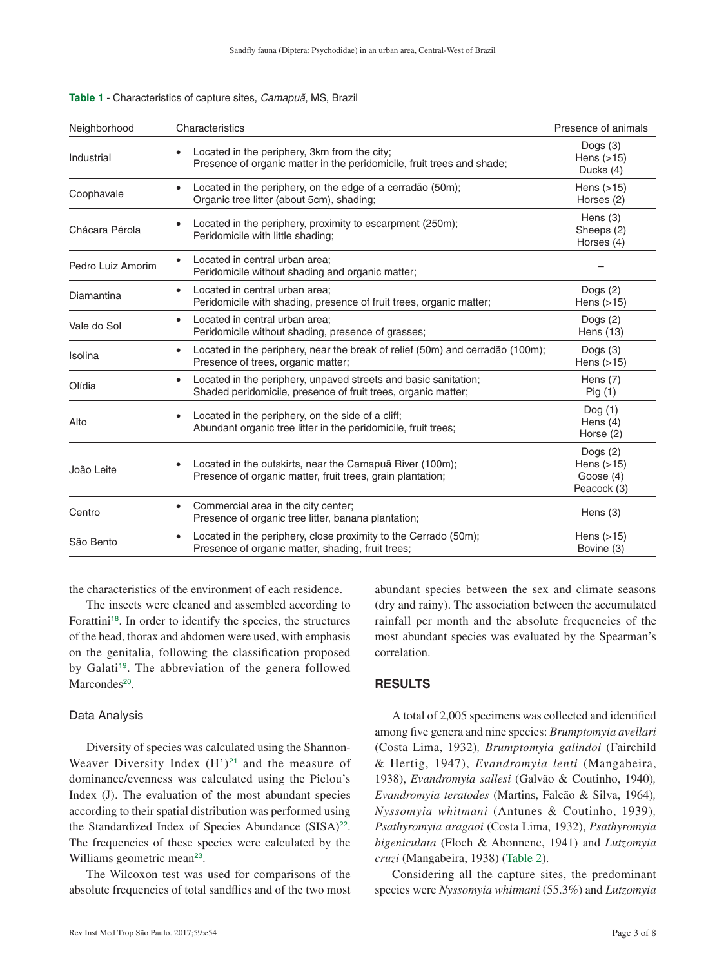| Neighborhood      | Characteristics                                                                                                                  | Presence of animals                                      |
|-------------------|----------------------------------------------------------------------------------------------------------------------------------|----------------------------------------------------------|
| Industrial        | Located in the periphery, 3km from the city;<br>Presence of organic matter in the peridomicile, fruit trees and shade;           | Dogs $(3)$<br>Hens $(>15)$<br>Ducks (4)                  |
| Coophavale        | Located in the periphery, on the edge of a cerradão (50m);<br>Organic tree litter (about 5cm), shading;                          | Hens $(>15)$<br>Horses (2)                               |
| Chácara Pérola    | Located in the periphery, proximity to escarpment (250m);<br>Peridomicile with little shading;                                   | Hens $(3)$<br>Sheeps (2)<br>Horses (4)                   |
| Pedro Luiz Amorim | Located in central urban area;<br>Peridomicile without shading and organic matter;                                               |                                                          |
| Diamantina        | Located in central urban area:<br>Peridomicile with shading, presence of fruit trees, organic matter;                            | Dogs $(2)$<br>Hens $(>15)$                               |
| Vale do Sol       | Located in central urban area:<br>Peridomicile without shading, presence of grasses;                                             | Dogs $(2)$<br>Hens (13)                                  |
| Isolina           | Located in the periphery, near the break of relief (50m) and cerradão (100m);<br>Presence of trees, organic matter;              | Dogs $(3)$<br>Hens $(>15)$                               |
| Olídia            | Located in the periphery, unpaved streets and basic sanitation;<br>Shaded peridomicile, presence of fruit trees, organic matter; | Hens $(7)$<br>Fig <sub>(1)</sub>                         |
| Alto              | Located in the periphery, on the side of a cliff;<br>Abundant organic tree litter in the peridomicile, fruit trees;              | Dog(1)<br>Hens $(4)$<br>Horse (2)                        |
| João Leite        | Located in the outskirts, near the Camapuã River (100m);<br>Presence of organic matter, fruit trees, grain plantation;           | Dogs $(2)$<br>Hens $(>15)$<br>Goose $(4)$<br>Peacock (3) |
| Centro            | Commercial area in the city center;<br>Presence of organic tree litter, banana plantation;                                       | Hens $(3)$                                               |
| São Bento         | Located in the periphery, close proximity to the Cerrado (50m);<br>Presence of organic matter, shading, fruit trees;             | Hens $(>15)$<br>Bovine (3)                               |

<span id="page-2-0"></span>**Table 1** - Characteristics of capture sites, *Camapuã*, MS, Brazil

the characteristics of the environment of each residence.

<span id="page-2-2"></span>The insects were cleaned and assembled according to Forattini<sup>[18](#page-6-0)</sup>. In order to identify the species, the structures of the head, thorax and abdomen were used, with emphasis on the genitalia, following the classification proposed by Galati<sup>[19](#page-6-0)</sup>. The abbreviation of the genera followed Marcondes<sup>[20](#page-6-0)</sup>.

#### <span id="page-2-4"></span><span id="page-2-3"></span>Data Analysis

Diversity of species was calculated using the Shannon-Weaver Diversity Index  $(H')^{21}$  $(H')^{21}$  $(H')^{21}$  and the measure of dominance/evenness was calculated using the Pielou's Index (J). The evaluation of the most abundant species according to their spatial distribution was performed using the Standardized Index of Species Abundance (SISA)<sup>[22](#page-6-0)</sup>. The frequencies of these species were calculated by the Williams geometric mean<sup>[23](#page-6-0)</sup>.

<span id="page-2-7"></span>The Wilcoxon test was used for comparisons of the absolute frequencies of total sandflies and of the two most abundant species between the sex and climate seasons (dry and rainy). The association between the accumulated rainfall per month and the absolute frequencies of the most abundant species was evaluated by the Spearman's correlation.

# **RESULTS**

<span id="page-2-5"></span>A total of 2,005 specimens was collected and identified among five genera and nine species: *Brumptomyia avellari*  (Costa Lima, 1932)*, Brumptomyia galindoi* (Fairchild & Hertig, 1947), *Evandromyia lenti* (Mangabeira, 1938), *Evandromyia sallesi* (Galvão & Coutinho, 1940)*, Evandromyia teratodes* (Martins, Falcão & Silva, 1964)*, Nyssomyia whitmani* (Antunes & Coutinho, 1939)*, Psathyromyia aragaoi* (Costa Lima, 1932), *Psathyromyia bigeniculata* (Floch & Abonnenc, 1941) and *Lutzomyia cruzi* (Mangabeira, 1938) [\(Table 2\)](#page-3-0).

<span id="page-2-6"></span><span id="page-2-1"></span>Considering all the capture sites, the predominant species were *Nyssomyia whitmani* (55.3%) and *Lutzomyia*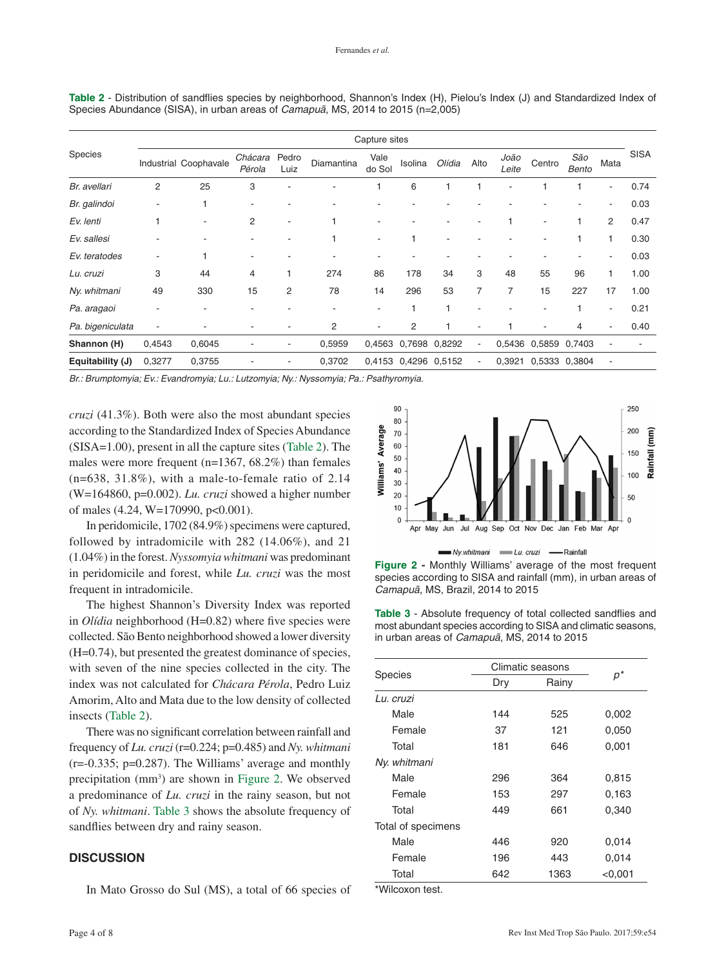|                  | Capture sites  |                       |                          |               |                |                          |                      |               |                          |                          |                          |              |      |             |
|------------------|----------------|-----------------------|--------------------------|---------------|----------------|--------------------------|----------------------|---------------|--------------------------|--------------------------|--------------------------|--------------|------|-------------|
| Species          |                | Industrial Coophavale | Chácara<br>Pérola        | Pedro<br>Luiz | Diamantina     | Vale<br>do Sol           | Isolina              | Olídia        | Alto                     | João<br>Leite            | Centro                   | São<br>Bento | Mata | <b>SISA</b> |
| Br. avellari     | $\overline{2}$ | 25                    | 3                        |               |                |                          | 6                    |               |                          | $\overline{\phantom{a}}$ |                          |              | ۰    | 0.74        |
| Br. galindoi     |                |                       |                          |               |                |                          |                      |               |                          |                          |                          |              |      | 0.03        |
| Ev. lenti        |                |                       | $\overline{2}$           |               |                |                          |                      |               | ٠                        |                          | $\blacksquare$           |              | 2    | 0.47        |
| Ev. sallesi      |                |                       | ٠                        |               |                | ٠                        |                      | ٠             |                          |                          | $\blacksquare$           |              |      | 0.30        |
| Ev. teratodes    | ٠              |                       | $\overline{\phantom{a}}$ |               |                | ٠                        |                      |               |                          |                          |                          |              | ٠    | 0.03        |
| Lu. cruzi        | 3              | 44                    | 4                        |               | 274            | 86                       | 178                  | 34            | 3                        | 48                       | 55                       | 96           |      | 1.00        |
| Ny. whitmani     | 49             | 330                   | 15                       | 2             | 78             | 14                       | 296                  | 53            | $\overline{7}$           | 7                        | 15                       | 227          | 17   | 1.00        |
| Pa. aragaoi      |                |                       | ٠                        |               |                | ٠                        | $\mathbf{1}$         |               | $\overline{\phantom{a}}$ |                          | $\blacksquare$           |              | ٠    | 0.21        |
| Pa. bigeniculata | ٠              |                       |                          |               | $\overline{c}$ | $\overline{\phantom{a}}$ | 2                    |               | $\overline{\phantom{a}}$ |                          | $\overline{\phantom{a}}$ | 4            | ۰    | 0.40        |
| Shannon (H)      | 0,4543         | 0,6045                |                          | -             | 0,5959         | 0,4563                   |                      | 0,7698 0,8292 | $\overline{\phantom{a}}$ |                          | 0,5436 0,5859 0,7403     |              |      |             |
| Equitability (J) | 0,3277         | 0,3755                |                          |               | 0,3702         |                          | 0,4153 0,4296 0,5152 |               | $\overline{a}$           | 0,3921                   | 0,5333 0,3804            |              |      |             |

<span id="page-3-0"></span>**Table 2** [- Distribution of sandflies species by neighborhood, Shannon's Index \(H\), Pielou's Index \(J\) and Standardized Index of](#page-2-1)  Species Abundance (SISA), in urban areas of *Camapuã*, MS, 2014 to 2015 (n=2,005)

*Br.: Brumptomyia; Ev.: Evandromyia; Lu.: Lutzomyia; Ny.: Nyssomyia; Pa.: Psathyromyia.*

*cruzi* (41.3%). Both were also the most abundant species according to the Standardized Index of Species Abundance (SISA=1.00), present in all the capture sites (Table 2). The males were more frequent (n=1367, 68.2%) than females (n=638, 31.8%), with a male-to-female ratio of 2.14 (W=164860, p=0.002). *Lu. cruzi* showed a higher number of males (4.24, W=170990, p<0.001).

In peridomicile, 1702 (84.9%) specimens were captured, followed by intradomicile with 282 (14.06%), and 21 (1.04%) in the forest. *Nyssomyia whitmani* was predominant in peridomicile and forest, while *Lu. cruzi* was the most frequent in intradomicile.

The highest Shannon's Diversity Index was reported in *Olídia* neighborhood (H=0.82) where five species were collected. São Bento neighborhood showed a lower diversity (H=0.74), but presented the greatest dominance of species, with seven of the nine species collected in the city. The index was not calculated for *Chácara Pérola*, Pedro Luiz Amorim, Alto and Mata due to the low density of collected insects (Table 2).

There was no significant correlation between rainfall and frequency of *Lu. cruzi* (r=0.224; p=0.485) and *Ny. whitmani*  $(r=-0.335; p=0.287)$ . The Williams' average and monthly precipitation (mm<sup>3</sup>) are shown in Figure 2. We observed a predominance of *Lu. cruzi* in the rainy season, but not of *Ny. whitmani*. Table 3 shows the absolute frequency of sandflies between dry and rainy season.

# **DISCUSSION**

<span id="page-3-1"></span>In Mato Grosso do Sul (MS), a total of 66 species of



Ny.whitmani Lu. cruzi — Rainfall

**Figure 2 -** Monthly Williams' average of the most frequent [species according to SISA and rainfall \(mm\), in urban areas of](#page-3-2)  *Camapuã*, MS, Brazil, 2014 to 2015

**Table 3** - Absolute frequency of total collected sandflies and [most abundant species according to SISA and climatic seasons,](#page-3-1)  in urban areas of *Camapuã*, MS, 2014 to 2015

<span id="page-3-2"></span>

|                    | Climatic seasons |       |           |  |  |
|--------------------|------------------|-------|-----------|--|--|
| <b>Species</b>     | Dry              | Rainy | $p^\star$ |  |  |
| Lu. cruzi          |                  |       |           |  |  |
| Male               | 144              | 525   | 0,002     |  |  |
| Female             | 37               | 121   | 0,050     |  |  |
| Total              | 181              | 646   | 0,001     |  |  |
| Ny. whitmani       |                  |       |           |  |  |
| Male               | 296              | 364   | 0,815     |  |  |
| Female             | 153              | 297   | 0.163     |  |  |
| Total              | 449              | 661   | 0,340     |  |  |
| Total of specimens |                  |       |           |  |  |
| Male               | 446              | 920   | 0,014     |  |  |
| Female             | 196              | 443   | 0,014     |  |  |
| Total              | 642              | 1363  | < 0.001   |  |  |

\*Wilcoxon test.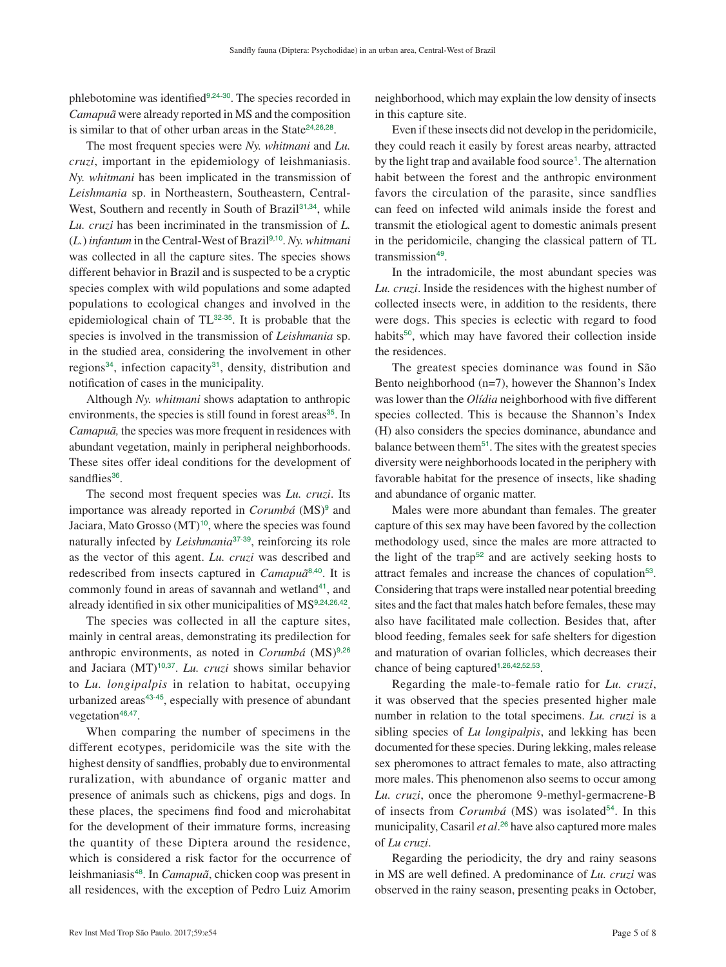phlebotomine was identified<sup>[9](#page-5-0),[24](#page-6-0)-[30](#page-6-0)</sup>. The species recorded in *Camapuã* were already reported in MS and the composition is similar to that of other urban areas in the State<sup>[24](#page-6-0),[26](#page-6-0),[28](#page-6-0)</sup>.

<span id="page-4-4"></span>The most frequent species were *Ny. whitmani* and *Lu. cruzi*, important in the epidemiology of leishmaniasis. *Ny. whitmani* has been implicated in the transmission of *Leishmania* sp. in Northeastern, Southeastern, Central-West, Southern and recently in South of Brazil<sup>[31](#page-6-0),[34](#page-6-0)</sup>, while *Lu. cruzi* has been incriminated in the transmission of *L.*  (*L.*) *infantum* in the Central-West of Brazil[9](#page-5-0),[10](#page-5-0). *Ny. whitmani* was collected in all the capture sites. The species shows different behavior in Brazil and is suspected to be a cryptic species complex with wild populations and some adapted populations to ecological changes and involved in the epidemiological chain of TL[32](#page-6-0)-[35](#page-6-0). It is probable that the species is involved in the transmission of *Leishmania* sp. in the studied area, considering the involvement in other regions<sup>[34](#page-6-0)</sup>, infection capacity<sup>[31](#page-6-0)</sup>, density, distribution and notification of cases in the municipality.

<span id="page-4-5"></span>Although *Ny. whitmani* shows adaptation to anthropic environments, the species is still found in forest areas<sup>[35](#page-6-0)</sup>. In *Camapuã,* the species was more frequent in residences with abundant vegetation, mainly in peripheral neighborhoods. These sites offer ideal conditions for the development of sandflies<sup>[36](#page-6-0)</sup>.

<span id="page-4-8"></span>The second most frequent species was *Lu. cruzi*. Its importance was already reported in *Corumbá* (MS)<sup>[9](#page-5-0)</sup> and Jaciara, Mato Grosso  $(MT)^{10}$  $(MT)^{10}$  $(MT)^{10}$ , where the species was found naturally infected by *Leishmania*[37](#page-6-0)-[39](#page-7-0), reinforcing its role as the vector of this agent. *Lu. cruzi* was described and redescribed from insects captured in *Camapuã*[8](#page-5-0),[40](#page-7-0). It is commonly found in areas of savannah and wetland<sup>[41](#page-7-0)</sup>, and already identified in six other municipalities of MS[9](#page-5-0),[24](#page-6-0),[26](#page-6-0),[42](#page-7-0).

<span id="page-4-12"></span>The species was collected in all the capture sites, mainly in central areas, demonstrating its predilection for anthropic environments, as noted in *Corumbá* (MS)<sup>[9](#page-5-0),[26](#page-6-0)</sup> and Jaciara (MT)<sup>[10](#page-5-0),[37](#page-6-0)</sup>. *Lu. cruzi* shows similar behavior to *Lu. longipalpis* in relation to habitat, occupying urbanized areas<sup>[43](#page-7-0)-[45](#page-7-0)</sup>, especially with presence of abundant vegetation<sup>[46](#page-7-0),[47](#page-7-0)</sup>.

<span id="page-4-18"></span><span id="page-4-17"></span><span id="page-4-16"></span>When comparing the number of specimens in the different ecotypes, peridomicile was the site with the highest density of sandflies, probably due to environmental ruralization, with abundance of organic matter and presence of animals such as chickens, pigs and dogs. In these places, the specimens find food and microhabitat for the development of their immature forms, increasing the quantity of these Diptera around the residence, which is considered a risk factor for the occurrence of leishmaniasis[48](#page-7-0). In *Camapuã*, chicken coop was present in all residences, with the exception of Pedro Luiz Amorim

<span id="page-4-2"></span><span id="page-4-0"></span>neighborhood, which may explain the low density of insects in this capture site.

<span id="page-4-3"></span><span id="page-4-1"></span>Even if these insects did not develop in the peridomicile, they could reach it easily by forest areas nearby, attracted by the light trap and available food source<sup>[1](#page-5-0)</sup>. The alternation habit between the forest and the anthropic environment favors the circulation of the parasite, since sandflies can feed on infected wild animals inside the forest and transmit the etiological agent to domestic animals present in the peridomicile, changing the classical pattern of TL transmission<sup>[49](#page-7-0)</sup>.

<span id="page-4-19"></span><span id="page-4-7"></span><span id="page-4-6"></span>In the intradomicile, the most abundant species was *Lu. cruzi*. Inside the residences with the highest number of collected insects were, in addition to the residents, there were dogs. This species is eclectic with regard to food habits<sup>[50](#page-7-0)</sup>, which may have favored their collection inside the residences.

<span id="page-4-20"></span>The greatest species dominance was found in São Bento neighborhood (n=7), however the Shannon's Index was lower than the *Olídia* neighborhood with five different species collected. This is because the Shannon's Index (H) also considers the species dominance, abundance and balance between them[51](#page-7-0). The sites with the greatest species diversity were neighborhoods located in the periphery with favorable habitat for the presence of insects, like shading and abundance of organic matter.

<span id="page-4-23"></span><span id="page-4-22"></span><span id="page-4-21"></span><span id="page-4-11"></span><span id="page-4-10"></span><span id="page-4-9"></span>Males were more abundant than females. The greater capture of this sex may have been favored by the collection methodology used, since the males are more attracted to the light of the trap<sup>[52](#page-7-0)</sup> and are actively seeking hosts to attract females and increase the chances of copulation<sup>[53](#page-7-0)</sup>. Considering that traps were installed near potential breeding sites and the fact that males hatch before females, these may also have facilitated male collection. Besides that, after blood feeding, females seek for safe shelters for digestion and maturation of ovarian follicles, which decreases their chance of being captured<sup>[1](#page-5-0),[26](#page-6-0),[42](#page-7-0),[52](#page-7-0),[53](#page-7-0)</sup>.

<span id="page-4-15"></span><span id="page-4-14"></span><span id="page-4-13"></span>Regarding the male-to-female ratio for *Lu. cruzi*, it was observed that the species presented higher male number in relation to the total specimens. *Lu. cruzi* is a sibling species of *Lu longipalpis*, and lekking has been documented for these species. During lekking, males release sex pheromones to attract females to mate, also attracting more males. This phenomenon also seems to occur among *Lu. cruzi*, once the pheromone 9-methyl-germacrene-B of insects from *Corumbá* (MS) was isolated<sup>[54](#page-7-0)</sup>. In this municipality, Casaril *et al*. [26](#page-6-0) have also captured more males of *Lu cruzi*.

<span id="page-4-24"></span>Regarding the periodicity, the dry and rainy seasons in MS are well defined. A predominance of *Lu. cruzi* was observed in the rainy season, presenting peaks in October,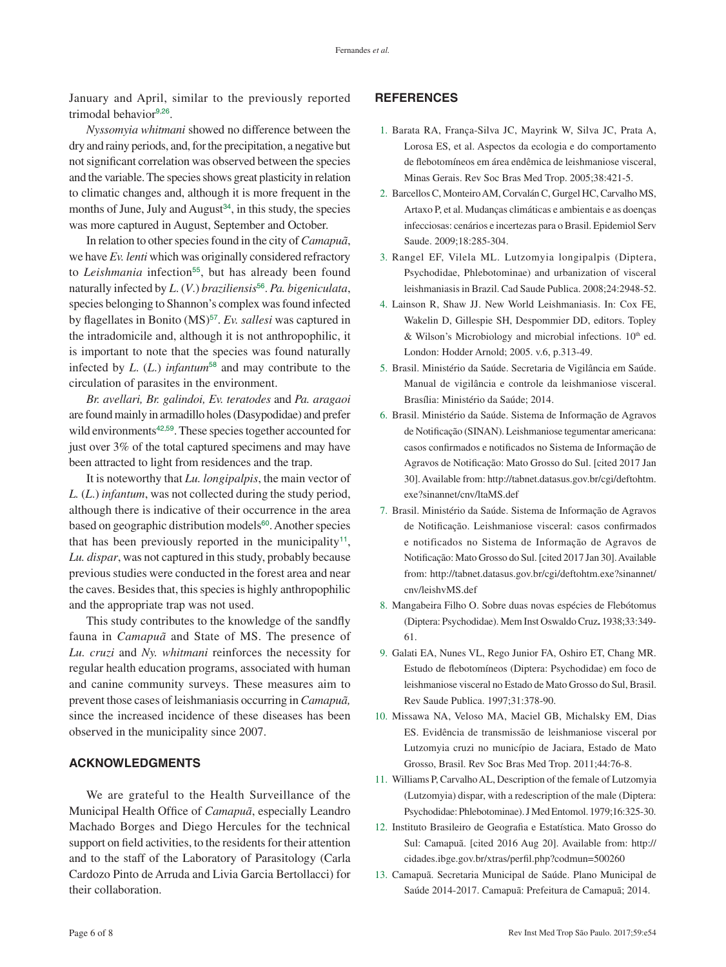<span id="page-5-0"></span>January and April, similar to the previously reported trimodal behavior<sup>9</sup>,[26](#page-6-0).

*Nyssomyia whitmani* showed no difference between the dry and rainy periods, and, for the precipitation, a negative but not significant correlation was observed between the species and the variable. The species shows great plasticity in relation to climatic changes and, although it is more frequent in the months of June, July and August $34$ , in this study, the species was more captured in August, September and October.

In relation to other species found in the city of *Camapuã*, we have *Ev. lenti* which was originally considered refractory to *Leishmania* infection<sup>[55](#page-7-0)</sup>, but has already been found naturally infected by *L*. (*V*.) *braziliensis*[56](#page-7-0). *Pa. bigeniculata*, species belonging to Shannon's complex was found infected by flagellates in Bonito (MS)<sup>[57](#page-7-0)</sup>. Ev. sallesi was captured in the intradomicile and, although it is not anthropophilic, it is important to note that the species was found naturally infected by *L*. (*L*.) *infantum*[58](#page-7-0) and may contribute to the circulation of parasites in the environment.

*Br. avellari, Br. galindoi, Ev. teratodes* and *Pa. aragaoi*  are found mainly in armadillo holes (Dasypodidae) and prefer wild environments<sup>[42](#page-7-0),[59](#page-7-0)</sup>. These species together accounted for just over 3% of the total captured specimens and may have been attracted to light from residences and the trap.

It is noteworthy that *Lu. longipalpis*, the main vector of *L.* (*L*.) *infantum*, was not collected during the study period, although there is indicative of their occurrence in the area based on geographic distribution models<sup>[60](#page-7-0)</sup>. Another species that has been previously reported in the municipality<sup>11</sup>, *Lu. dispar*, was not captured in this study, probably because previous studies were conducted in the forest area and near the caves. Besides that, this species is highly anthropophilic and the appropriate trap was not used.

This study contributes to the knowledge of the sandfly fauna in *Camapuã* and State of MS. The presence of *Lu. cruzi* and *Ny. whitmani* reinforces the necessity for regular health education programs, associated with human and canine community surveys. These measures aim to prevent those cases of leishmaniasis occurring in *Camapuã,* since the increased incidence of these diseases has been observed in the municipality since 2007.

# **ACKNOWLEDGMENTS**

We are grateful to the Health Surveillance of the Municipal Health Office of *Camapuã*, especially Leandro Machado Borges and Diego Hercules for the technical support on field activities, to the residents for their attention and to the staff of the Laboratory of Parasitology (Carla Cardozo Pinto de Arruda and Livia Garcia Bertollacci) for their collaboration.

# **REFERENCES**

- 1. [Barata RA, França-Silva JC, Mayrink W, Silva JC, Prata A,](#page-0-0)  [Lorosa ES, et al. Aspectos da ecologia e do comportamento](#page-0-0)  [de flebotomíneos em área endêmica de leishmaniose visceral,](#page-0-0)  [Minas Gerais. Rev Soc Bras Med Trop. 2005;38:421-5.](#page-0-0)
- 2. [Barcellos C, Monteiro AM, Corvalán C, Gurgel HC, Carvalho MS,](#page-0-1)  [Artaxo P, et al. Mudanças climáticas e ambientais e as doenças](#page-0-1)  [infecciosas: cenários e incertezas para o Brasil. Epidemiol Serv](#page-0-1)  [Saude. 2009;18:285-304.](#page-0-1)
- <span id="page-5-1"></span>3. [Rangel EF, Vilela ML. Lutzomyia longipalpis \(Diptera,](#page-0-2)  [Psychodidae, Phlebotominae\) and urbanization of visceral](#page-0-2)  [leishmaniasis in Brazil. Cad Saude Publica. 2008;24:2948-52.](#page-0-2)
- <span id="page-5-3"></span><span id="page-5-2"></span>4. [Lainson R, Shaw JJ. New World Leishmaniasis. In: Cox FE,](#page-0-3)  [Wakelin D, Gillespie SH, Despommier DD, editors. Topley](#page-0-3)  & Wilson's Microbiology and microbial infections.  $10<sup>th</sup>$  ed. [London: Hodder Arnold; 2005. v.6, p.313-49.](#page-0-3)
- <span id="page-5-4"></span>5. [Brasil. Ministério da Saúde. Secretaria de Vigilância em Saúde.](#page-0-4)  [Manual de vigilância e controle da leishmaniose visceral.](#page-0-4)  [Brasília: Ministério da Saúde; 2014.](#page-0-4)
- <span id="page-5-5"></span>6. [Brasil. Ministério da Saúde. Sistema de Informação de Agravos](#page-1-2)  [de Notificação \(SINAN\). Leishmaniose tegumentar americana:](#page-1-2)  [casos confirmados e notificados no Sistema de Informação de](#page-1-2)  [Agravos de Notificação: Mato Grosso do Sul. \[cited 2017 Jan](#page-1-2)  [30\]. Available from:](#page-1-2) [http://tabnet.datasus.gov.br/cgi/deftohtm.](http://tabnet.datasus.gov.br/cgi/deftohtm.exe?sinannet/cnv/ltaMS.def) [exe?sinannet/cnv/ltaMS.def](http://tabnet.datasus.gov.br/cgi/deftohtm.exe?sinannet/cnv/ltaMS.def)
- <span id="page-5-6"></span>7. [Brasil. Ministério da Saúde. Sistema de Informação de Agravos](#page-1-3)  [de Notificação. Leishmaniose visceral: casos confirmados](#page-1-3)  [e notificados no Sistema de Informação de Agravos de](#page-1-3)  [Notificação: Mato Grosso do Sul. \[cited 2017 Jan 30\]. Available](#page-1-3)  [from:](#page-1-3) [http://tabnet.datasus.gov.br/cgi/deftohtm.exe?sinannet/](http://tabnet.datasus.gov.br/cgi/deftohtm.exe?sinannet/cnv/leishvMS.def) [cnv/leishvMS.def](http://tabnet.datasus.gov.br/cgi/deftohtm.exe?sinannet/cnv/leishvMS.def)
- 8. [Mangabeira Filho O. Sobre duas novas espécies de Flebótomus](#page-1-4)  (Diptera: Psychodidae). [Mem Inst Oswaldo Cruz](#page-1-4)**.** 1938;33:349- [61.](#page-1-4)
- 9. [Galati EA, Nunes VL, Rego Junior FA, Oshiro ET, Chang MR.](#page-1-5)  [Estudo de flebotomíneos \(Diptera: Psychodidae\) em foco de](#page-1-5)  [leishmaniose visceral no Estado de Mato Grosso do Sul, Brasil.](#page-1-5)  [Rev Saude Publica. 1997;31:378-90.](#page-1-5)
- 10. [Missawa NA, Veloso MA, Maciel GB, Michalsky EM, Dias](#page-1-6)  ES. [Evidência de transmissão de leishmaniose visceral por](#page-1-6)  [Lutzomyia cruzi no município de Jaciara, Estado de Mato](#page-1-6)  [Grosso, Brasil. Rev Soc Bras Med Trop. 2011;44:76-8.](#page-1-6)
- 11. [Williams P, Carvalho AL, Description of the female of Lutzomyia](#page-1-7)  [\(Lutzomyia\) dispar, with a redescription of the male \(Diptera:](#page-1-7)  [Psychodidae: Phlebotominae\). J Med Entomol. 1979;16:325-30.](#page-1-7)
- 12. [Instituto Brasileiro de Geografia e Estatística. Mato Grosso do](#page-1-8)  [Sul: Camapuã. \[cited 2016 Aug 20\]. Available from:](#page-1-8) [http://](http://cidades.ibge.gov.br/xtras/perfil.php?codmun=500260) [cidades.ibge.gov.br/xtras/perfil.php?codmun=500260](http://cidades.ibge.gov.br/xtras/perfil.php?codmun=500260)
- 13. [Camapuã. Secretaria Municipal de Saúde. Plano Municipal de](#page-1-9)  [Saúde 2014-2017. Camapuã: Prefeitura de Camapuã; 2014.](#page-1-9)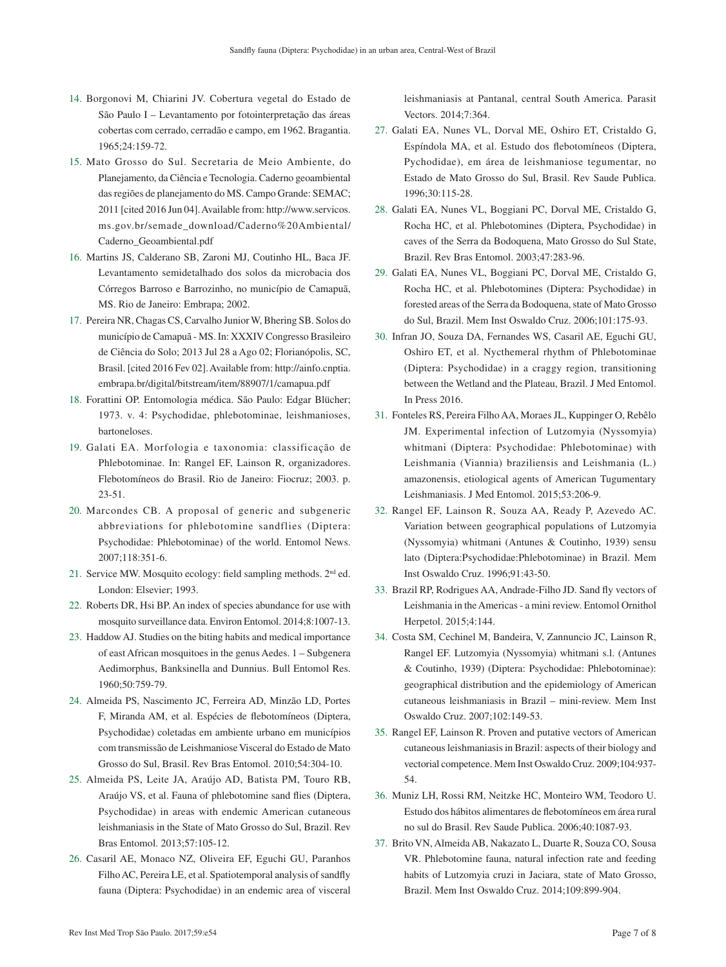- <span id="page-6-0"></span>14. [Borgonovi M, Chiarini JV. Cobertura vegetal do Estado de](#page-1-10)  [São Paulo I – Levantamento por fotointerpretação das áreas](#page-1-10)  [cobertas com cerrado, cerradão e campo, em 1962. Bragantia.](#page-1-10)  [1965;24:159-72.](#page-1-10)
- 15. [Mato Grosso do Sul. Secretaria de Meio Ambiente, do](#page-1-11)  [Planejamento, da Ciência e Tecnologia. Caderno geoambiental](#page-1-11)  [das regiões de planejamento do MS. Campo Grande: SEMAC;](#page-1-11)  [2011 \[cited 2016 Jun 04\]. Available from:](#page-1-11) [http://www.servicos.](http://www.servicos.ms.gov.br/semade_download/Caderno%20Ambiental/Caderno_Geoambiental.pdf) [ms.gov.br/semade\\_download/Caderno%20Ambiental/](http://www.servicos.ms.gov.br/semade_download/Caderno%20Ambiental/Caderno_Geoambiental.pdf) [Caderno\\_Geoambiental.pdf](http://www.servicos.ms.gov.br/semade_download/Caderno%20Ambiental/Caderno_Geoambiental.pdf)
- 16. [Martins JS, Calderano SB, Zaroni MJ, Coutinho HL, Baca JF.](#page-1-12)  [Levantamento semidetalhado dos solos da microbacia dos](#page-1-12)  [Córregos Barroso e Barrozinho, no município de Camapuã,](#page-1-12)  [MS. Rio de Janeiro: Embrapa; 2002.](#page-1-12)
- 17. [Pereira NR, Chagas CS, Carvalho Junior W, Bhering SB. Solos do](#page-1-13)  [município de Camapuã - MS. In: XXXIV Congresso Brasileiro](#page-1-13)  [de Ciência do Solo; 2013 Jul 28 a Ago 02; Florianópolis, SC,](#page-1-13)  [Brasil. \[cited 2016 Fev 02\]. Available from:](#page-1-13) [http://ainfo.cnptia.](http://ainfo.cnptia.embrapa.br/digital/bitstream/item/88907/1/camapua.pdf) [embrapa.br/digital/bitstream/item/88907/1/camapua.pdf](http://ainfo.cnptia.embrapa.br/digital/bitstream/item/88907/1/camapua.pdf)
- 18. [Forattini OP. Entomologia médica. São Paulo: Edgar Blücher;](#page-2-2)  [1973. v. 4: Psychodidae, phlebotominae, leishmanioses,](#page-2-2)  [bartoneloses.](#page-2-2)
- 19. [Galati EA. Morfologia e taxonomia: classificação de](#page-2-3)  [Phlebotominae. In: Rangel EF, Lainson R, organizadores.](#page-2-3)  [Flebotomíneos do Brasil. Rio de Janeiro: Fiocruz; 2003. p.](#page-2-3)  [23-51.](#page-2-3)
- 20. [Marcondes CB. A proposal of generic and subgeneric](#page-2-4)  [abbreviations for phlebotomine sandflies \(Diptera:](#page-2-4)  [Psychodidae: Phlebotominae\) of the world. Entomol News.](#page-2-4)  [2007;118:351-6.](#page-2-4)
- 21. [Service MW. Mosquito ecology: field sampling methods. 2nd ed.](#page-2-5)  [London: Elsevier; 1993.](#page-2-5)
- 22. [Roberts DR, Hsi BP. An index of species abundance for use with](#page-2-6)  [mosquito surveillance data. Environ Entomol. 2014;8:1007-13.](#page-2-6)
- 23. [Haddow AJ. Studies on the biting habits and medical importance](#page-2-7)  [of east African mosquitoes in the genus Aedes. 1 – Subgenera](#page-2-7)  [Aedimorphus, Banksinella and Dunnius. Bull Entomol Res.](#page-2-7)  [1960;50:759-79.](#page-2-7)
- 24. [Almeida PS, Nascimento JC, Ferreira AD, Minzão LD, Portes](#page-4-0)  [F, Miranda AM, et al. Espécies de flebotomíneos \(Diptera,](#page-4-0)  [Psychodidae\) coletadas em ambiente urbano em municípios](#page-4-0)  [com transmissão de Leishmaniose Visceral do Estado de Mato](#page-4-0)  [Grosso do Sul, Brasil. Rev Bras Entomol. 2010;54:304-10.](#page-4-0)
- 25. [Almeida PS, Leite JA, Araújo AD, Batista PM, Touro RB,](#page-4-0)  [Araújo VS, et al. Fauna of phlebotomine sand flies \(Diptera,](#page-4-0)  [Psychodidae\) in areas with endemic American cutaneous](#page-4-0)  [leishmaniasis in the State of Mato Grosso do Sul, Brazil. Rev](#page-4-0)  [Bras Entomol. 2013;57:105-12.](#page-4-0)
- 26. [Casaril AE, Monaco NZ, Oliveira EF, Eguchi GU, Paranhos](#page-4-1)  [Filho AC, Pereira LE, et al. Spatiotemporal analysis of sandfly](#page-4-1)  [fauna \(Diptera: Psychodidae\) in an endemic area of visceral](#page-4-1)

[leishmaniasis at Pantanal, central South America. Parasit](#page-4-1)  [Vectors. 2014;7:364.](#page-4-1)

- 27. [Galati EA, Nunes VL, Dorval ME, Oshiro ET, Cristaldo G,](#page-4-2)  [Espíndola MA, et al. Estudo dos flebotomíneos \(Diptera,](#page-4-2)  [Pychodidae\), em área de leishmaniose tegumentar, no](#page-4-2)  [Estado de Mato Grosso do Sul, Brasil. Rev Saude Publica.](#page-4-2)  [1996;30:115-28.](#page-4-2)
- 28. [Galati EA, Nunes VL, Boggiani PC, Dorval ME, Cristaldo G,](#page-4-3)  [Rocha HC, et al. Phlebotomines \(Diptera, Psychodidae\) in](#page-4-3)  [caves of the Serra da Bodoquena, Mato Grosso do Sul State,](#page-4-3)  [Brazil. Rev Bras Entomol. 2003;47:283-96.](#page-4-3)
- 29. [Galati EA, Nunes VL, Boggiani PC, Dorval ME, Cristaldo G,](#page-4-2)  [Rocha HC, et al. Phlebotomines \(Diptera: Psychodidae\) in](#page-4-2)  [forested areas of the Serra da Bodoquena, state of Mato Grosso](#page-4-2)  [do Sul, Brazil. Mem Inst Oswaldo Cruz. 2006;101:175-93.](#page-4-2)
- 30. [Infran JO, Souza DA, Fernandes WS, Casaril AE, Eguchi GU,](#page-4-2)  Oshiro ET, et al. [Nycthemeral rhythm of Phlebotominae](#page-4-2)  [\(Diptera: Psychodidae\) in a craggy region, transitioning](#page-4-2)  [between the Wetland and the Plateau, Brazil. J Med Entomol.](#page-4-2)  [In Press 2016.](#page-4-2)
- 31. [Fonteles RS, Pereira Filho AA, Moraes JL, Kuppinger O, Rebêlo](#page-4-4)  [JM. Experimental infection of Lutzomyia \(Nyssomyia\)](#page-4-4)  [whitmani \(Diptera: Psychodidae: Phlebotominae\) with](#page-4-4)  [Leishmania \(Viannia\) braziliensis and Leishmania \(L.\)](#page-4-4)  [amazonensis, etiological agents of American Tugumentary](#page-4-4)  [Leishmaniasis. J Med Entomol. 2015;53:206-9.](#page-4-4)
- 32. [Rangel EF, Lainson R, Souza AA, Ready P, Azevedo AC.](#page-4-5)  [Variation between geographical populations of Lutzomyia](#page-4-5)  [\(Nyssomyia\) whitmani \(Antunes & Coutinho, 1939\) sensu](#page-4-5)  [lato \(Diptera:Psychodidae:Phlebotominae\) in Brazil. Mem](#page-4-5)  [Inst Oswaldo Cruz. 1996;91:43-50.](#page-4-5)
- 33. [Brazil RP, Rodrigues AA, Andrade-Filho JD. Sand fly vectors of](#page-4-6)  [Leishmania in the Americas - a mini review. Entomol Ornithol](#page-4-6)  [Herpetol. 2015;4:144.](#page-4-6)
- 34. [Costa SM, Cechinel M, Bandeira, V, Zannuncio JC, Lainson R,](#page-4-6)  [Rangel EF. Lutzomyia \(Nyssomyia\) whitmani s.l. \(Antunes](#page-4-6)  [& Coutinho, 1939\) \(Diptera: Psychodidae: Phlebotominae\):](#page-4-6)  [geographical distribution and the epidemiology of American](#page-4-6)  [cutaneous leishmaniasis in Brazil – mini-review. Mem Inst](#page-4-6)  [Oswaldo Cruz. 2007;102:149-53.](#page-4-6)
- 35. [Rangel EF, Lainson R. Proven and putative vectors of American](#page-4-7)  [cutaneous leishmaniasis in Brazil: aspects of their biology and](#page-4-7)  [vectorial competence. Mem Inst Oswaldo Cruz. 2009;104:937-](#page-4-7) [54.](#page-4-7)
- 36. [Muniz LH, Rossi RM, Neitzke HC, Monteiro WM, Teodoro U.](#page-4-8)  [Estudo dos hábitos alimentares de flebotomíneos em área rural](#page-4-8)  [no sul do Brasil. Rev Saude Publica. 2006;40:1087-93.](#page-4-8)
- 37. [Brito VN, Almeida AB, Nakazato L, Duarte R, Souza CO, Sousa](#page-4-9)  [VR. Phlebotomine fauna, natural infection rate and feeding](#page-4-9)  [habits of Lutzomyia cruzi in Jaciara, state of Mato Grosso,](#page-4-9)  [Brazil. Mem Inst Oswaldo Cruz. 2014;109:899-904.](#page-4-9)